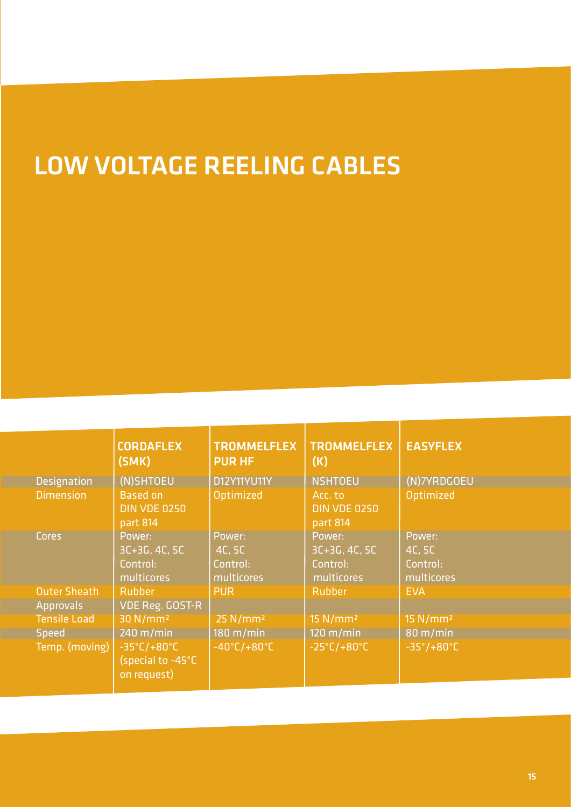# LOW VOLTAGE REELING CABLES

|                     | <b>CORDAFLEX</b><br>(SMK)                                            | <b>TROMMELFLEX</b><br><b>PUR HF</b>        | <b>TROMMELFLEX</b><br>(K)                           | <b>EASYFLEX</b>                            |
|---------------------|----------------------------------------------------------------------|--------------------------------------------|-----------------------------------------------------|--------------------------------------------|
| <b>Designation</b>  | (N)SHTOEU                                                            | <b>D12Y11YU11Y</b>                         | <b>NSHTOEU</b>                                      | (N)7YRDGOEU                                |
| <b>Dimension</b>    | <b>Based on</b><br><b>DIN VDE 0250</b><br>part 814                   | Optimized                                  | Acc. to<br><b>DIN VDE 0250</b><br>part 814          | Optimized                                  |
| Cores               | Power:<br>$3C+3G, 4C, 5C$<br>Control:<br>multicores                  | Power:<br>4C, 5C<br>Control:<br>multicores | Power:<br>$3C+3G, 4C, 5C$<br>Control:<br>multicores | Power:<br>4C, 5C<br>Control:<br>multicores |
| <b>Outer Sheath</b> | <b>Rubber</b>                                                        | <b>PUR</b>                                 | Rubber                                              | <b>EVA</b>                                 |
| <b>Approvals</b>    | <b>VDE Reg. GOST-R</b>                                               |                                            |                                                     |                                            |
| <b>Tensile Load</b> | 30 N/mm <sup>2</sup>                                                 | $25$ N/mm <sup>2</sup>                     | 15 N/mm <sup>2</sup>                                | $15$ N/mm <sup>2</sup>                     |
| Speed               | $240 \text{ m/min}$                                                  | $180 \text{ m/min}$                        | $120 \text{ m/min}$                                 | $80 \text{ m/min}$                         |
| Temp. (moving)      | $-35^{\circ}$ C/+80 $^{\circ}$ C<br>(special to -45°C<br>on request) | $-40^{\circ}$ C/+80 $^{\circ}$ C           | $-25^{\circ}$ C/+80 $^{\circ}$ C                    | $-35^{\circ}/+80^{\circ}C$                 |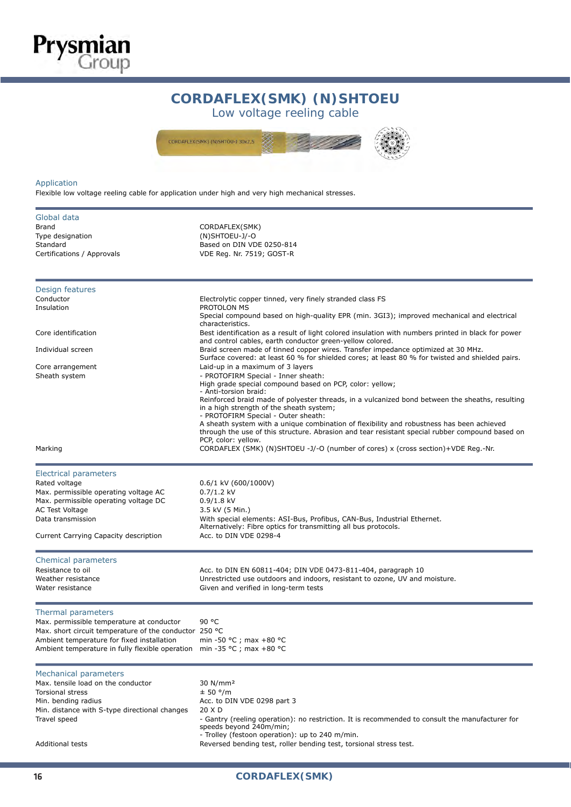## CORDAFLEX(SMK) (N)SHTOEU: low voltage reeling cables **CORDAFLEX(SMK) (N)SHTOEU**

Low voltage reeling cable



#### Application

**Prysmian**<br>Group

Flexible low voltage reeling cable for application under high and very high mechanical stresses.

| Global data<br>Brand<br>Type designation<br>Standard<br>Certifications / Approvals                                                                                                                                                                    | CORDAFLEX(SMK)<br>(N)SHTOEU-J/-O<br>Based on DIN VDE 0250-814<br>VDE Reg. Nr. 7519; GOST-R                                                                                                                                                                                                                                                                                                                                                                                                                                                         |
|-------------------------------------------------------------------------------------------------------------------------------------------------------------------------------------------------------------------------------------------------------|----------------------------------------------------------------------------------------------------------------------------------------------------------------------------------------------------------------------------------------------------------------------------------------------------------------------------------------------------------------------------------------------------------------------------------------------------------------------------------------------------------------------------------------------------|
| Design features<br>Conductor<br>Insulation                                                                                                                                                                                                            | Electrolytic copper tinned, very finely stranded class FS<br>PROTOLON MS<br>Special compound based on high-quality EPR (min. 3GI3); improved mechanical and electrical<br>characteristics.                                                                                                                                                                                                                                                                                                                                                         |
| Core identification<br>Individual screen                                                                                                                                                                                                              | Best identification as a result of light colored insulation with numbers printed in black for power<br>and control cables, earth conductor green-yellow colored.<br>Braid screen made of tinned copper wires. Transfer impedance optimized at 30 MHz.<br>Surface covered: at least 60 % for shielded cores; at least 80 % for twisted and shielded pairs.                                                                                                                                                                                          |
| Core arrangement<br>Sheath system                                                                                                                                                                                                                     | Laid-up in a maximum of 3 layers<br>- PROTOFIRM Special - Inner sheath:<br>High grade special compound based on PCP, color: yellow;<br>- Anti-torsion braid:<br>Reinforced braid made of polyester threads, in a vulcanized bond between the sheaths, resulting<br>in a high strength of the sheath system;<br>- PROTOFIRM Special - Outer sheath:<br>A sheath system with a unique combination of flexibility and robustness has been achieved<br>through the use of this structure. Abrasion and tear resistant special rubber compound based on |
| Marking                                                                                                                                                                                                                                               | PCP, color: yellow.<br>CORDAFLEX (SMK) (N)SHTOEU -J/-O (number of cores) x (cross section)+VDE Reg.-Nr.                                                                                                                                                                                                                                                                                                                                                                                                                                            |
| Electrical parameters<br>Rated voltage<br>Max. permissible operating voltage AC<br>Max. permissible operating voltage DC<br>AC Test Voltage<br>Data transmission<br>Current Carrying Capacity description<br>Chemical parameters<br>Resistance to oil | 0.6/1 kV (600/1000V)<br>$0.7/1.2$ kV<br>$0.9/1.8$ kV<br>3.5 kV (5 Min.)<br>With special elements: ASI-Bus, Profibus, CAN-Bus, Industrial Ethernet.<br>Alternatively: Fibre optics for transmitting all bus protocols.<br>Acc. to DIN VDE 0298-4<br>Acc. to DIN EN 60811-404; DIN VDE 0473-811-404, paragraph 10                                                                                                                                                                                                                                    |
| Weather resistance<br>Water resistance                                                                                                                                                                                                                | Unrestricted use outdoors and indoors, resistant to ozone, UV and moisture.<br>Given and verified in long-term tests                                                                                                                                                                                                                                                                                                                                                                                                                               |
| Thermal parameters<br>Max. permissible temperature at conductor<br>Max. short circuit temperature of the conductor 250 °C<br>Ambient temperature for fixed installation<br>Ambient temperature in fully flexible operation                            | 90 °C<br>min -50 °C ; max +80 °C<br>min -35 °C ; max +80 °C                                                                                                                                                                                                                                                                                                                                                                                                                                                                                        |
| Mechanical parameters<br>Max. tensile load on the conductor<br><b>Torsional stress</b><br>Min. bending radius<br>Min. distance with S-type directional changes<br>Travel speed<br><b>Additional tests</b>                                             | 30 N/mm <sup>2</sup><br>± 50 °/m<br>Acc. to DIN VDE 0298 part 3<br>20 X D<br>- Gantry (reeling operation): no restriction. It is recommended to consult the manufacturer for<br>speeds beyond 240m/min;<br>- Trolley (festoon operation): up to 240 m/min.<br>Reversed bending test, roller bending test, torsional stress test.                                                                                                                                                                                                                   |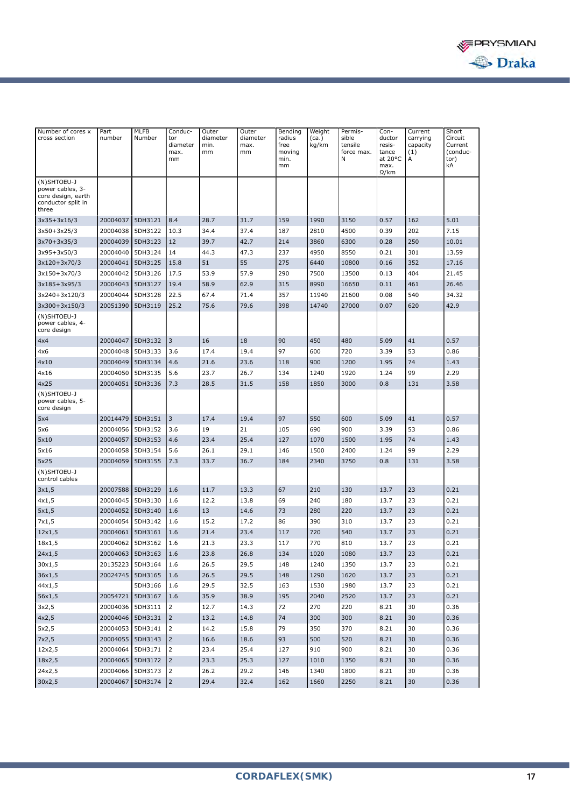

| Number of cores x<br>cross section                                                   | Part<br>number       | MLFB<br>Number     | Conduc-<br>tor<br>diameter<br>max.<br>mm | Outer<br>diameter<br>min.<br>mm | Outer<br>diameter<br>max.<br>mm | Bending<br>radius<br>free<br>moving<br>min.<br>mm | Weight<br>(ca.)<br>kg/km | Permis-<br>sible<br>tensile<br>force max.<br>N | Con-<br>ductor<br>resis-<br>tance<br>at 20°C<br>max.<br>$\Omega$ /km | Current<br>carrying<br>capacity<br>(1)<br>А | Short<br>Circuit<br>Current<br>(conduc-<br>tor)<br>kA |
|--------------------------------------------------------------------------------------|----------------------|--------------------|------------------------------------------|---------------------------------|---------------------------------|---------------------------------------------------|--------------------------|------------------------------------------------|----------------------------------------------------------------------|---------------------------------------------|-------------------------------------------------------|
| (N)SHTOEU-J<br>power cables, 3-<br>core design, earth<br>conductor split in<br>three |                      |                    |                                          |                                 |                                 |                                                   |                          |                                                |                                                                      |                                             |                                                       |
| 3x35+3x16/3                                                                          | 20004037             | 5DH3121            | 8.4                                      | 28.7                            | 31.7                            | 159                                               | 1990                     | 3150                                           | 0.57                                                                 | 162                                         | 5.01                                                  |
| $3x50+3x25/3$                                                                        | 20004038             | 5DH3122            | 10.3                                     | 34.4                            | 37.4                            | 187                                               | 2810                     | 4500                                           | 0.39                                                                 | 202                                         | 7.15                                                  |
| 3x70+3x35/3                                                                          | 20004039             | 5DH3123            | 12                                       | 39.7                            | 42.7                            | 214                                               | 3860                     | 6300                                           | 0.28                                                                 | 250                                         | 10.01                                                 |
| 3x95+3x50/3                                                                          | 20004040             | 5DH3124            | 14                                       | 44.3                            | 47.3                            | 237                                               | 4950                     | 8550                                           | 0.21                                                                 | 301                                         | 13.59                                                 |
| 3x120+3x70/3                                                                         | 20004041             | 5DH3125            | 15.8                                     | 51                              | 55                              | 275                                               | 6440                     | 10800                                          | 0.16                                                                 | 352                                         | 17.16                                                 |
| 3x150+3x70/3                                                                         | 20004042             | 5DH3126            | 17.5                                     | 53.9                            | 57.9                            | 290                                               | 7500                     | 13500                                          | 0.13                                                                 | 404                                         | 21.45                                                 |
| 3x185+3x95/3                                                                         | 20004043             | 5DH3127            | 19.4                                     | 58.9                            | 62.9                            | 315                                               | 8990                     | 16650                                          | 0.11                                                                 | 461                                         | 26.46                                                 |
| 3x240+3x120/3                                                                        | 20004044             | 5DH3128            | 22.5                                     | 67.4                            | 71.4                            | 357                                               | 11940                    | 21600                                          | 0.08                                                                 | 540                                         | 34.32                                                 |
| 3x300+3x150/3                                                                        | 20051390             | 5DH3119            | 25.2                                     | 75.6                            | 79.6                            | 398                                               | 14740                    | 27000                                          | 0.07                                                                 | 620                                         | 42.9                                                  |
| (N)SHTOEU-J<br>power cables, 4-<br>core design                                       |                      |                    |                                          |                                 |                                 |                                                   |                          |                                                |                                                                      |                                             |                                                       |
| 4x4                                                                                  | 20004047             | 5DH3132            | 3                                        | 16                              | 18                              | 90                                                | 450                      | 480                                            | 5.09                                                                 | 41                                          | 0.57                                                  |
| 4x6                                                                                  | 20004048             | 5DH3133            | 3.6                                      | 17.4                            | 19.4                            | 97                                                | 600                      | 720                                            | 3.39                                                                 | 53                                          | 0.86                                                  |
| 4x10                                                                                 | 20004049             | 5DH3134            | 4.6                                      | 21.6                            | 23.6                            | 118                                               | 900                      | 1200                                           | 1.95                                                                 | 74                                          | 1.43                                                  |
| 4x16                                                                                 | 20004050             | 5DH3135            | 5.6                                      | 23.7                            | 26.7                            | 134                                               | 1240                     | 1920                                           | 1.24                                                                 | 99                                          | 2.29                                                  |
| 4x25                                                                                 | 20004051             | 5DH3136            | 7.3                                      | 28.5                            | 31.5                            | 158                                               | 1850                     | 3000                                           | 0.8                                                                  | 131                                         | 3.58                                                  |
| (N)SHTOEU-J<br>power cables, 5-<br>core design                                       |                      |                    |                                          |                                 |                                 |                                                   |                          |                                                |                                                                      |                                             |                                                       |
| 5x4                                                                                  | 20014479             | 5DH3151            | 3                                        | 17.4                            | 19.4                            | 97                                                | 550                      | 600                                            | 5.09                                                                 | 41                                          | 0.57                                                  |
| 5x6                                                                                  | 20004056             | 5DH3152            | 3.6                                      | 19                              | 21                              | 105                                               | 690                      | 900                                            | 3.39                                                                 | 53                                          | 0.86                                                  |
| 5x10                                                                                 | 20004057             | 5DH3153            | 4.6                                      | 23.4                            | 25.4                            | 127                                               | 1070                     | 1500                                           | 1.95                                                                 | 74                                          | 1.43                                                  |
| 5x16                                                                                 | 20004058             | 5DH3154            | 5.6                                      | 26.1                            | 29.1                            | 146                                               | 1500                     | 2400                                           | 1.24                                                                 | 99                                          | 2.29                                                  |
| 5x25                                                                                 | 20004059             | 5DH3155            | 7.3                                      | 33.7                            | 36.7                            | 184                                               | 2340                     | 3750                                           | 0.8                                                                  | 131                                         | 3.58                                                  |
| (N)SHTOEU-J<br>control cables                                                        |                      |                    |                                          |                                 |                                 |                                                   |                          |                                                |                                                                      |                                             |                                                       |
| 3x1,5                                                                                | 20007588             | 5DH3129            | 1.6                                      | 11.7                            | 13.3                            | 67                                                | 210                      | 130                                            | 13.7                                                                 | 23                                          | 0.21                                                  |
| 4x1,5                                                                                | 20004045             | 5DH3130            | 1.6                                      | 12.2                            | 13.8                            | 69                                                | 240                      | 180                                            | 13.7                                                                 | 23                                          | 0.21                                                  |
| 5x1,5                                                                                | 20004052             | 5DH3140            | 1.6                                      | 13                              | 14.6                            | 73                                                | 280                      | 220                                            | 13.7                                                                 | 23                                          | 0.21                                                  |
| 7x1,5                                                                                | 20004054             | 5DH3142            | 1.6                                      | 15.2                            | 17.2                            | 86                                                | 390                      | 310                                            | 13.7                                                                 | 23                                          | 0.21                                                  |
| 12x1,5                                                                               | 20004061             | 5DH3161            | 1.6                                      | 21.4                            | 23.4                            | 117                                               | 720                      | 540                                            | 13.7                                                                 | 23                                          | 0.21                                                  |
| 18x1,5                                                                               | 20004062             | 5DH3162            | 1.6                                      | 21.3                            | 23.3                            | 117                                               | 770                      | 810                                            | 13.7                                                                 | 23                                          | 0.21                                                  |
| 24x1,5                                                                               | 20004063             | 5DH3163            | 1.6                                      | 23.8                            | 26.8                            | 134                                               | 1020                     | 1080                                           | 13.7                                                                 | 23                                          | 0.21                                                  |
| 30x1,5                                                                               | 20135223 5DH3164     |                    | 1.6                                      | 26.5                            | 29.5                            | 148                                               | 1240                     | 1350                                           | 13.7                                                                 | 23                                          | 0.21                                                  |
| 36x1,5                                                                               | 20024745 5DH3165     |                    | 1.6                                      | 26.5                            | 29.5                            | 148                                               | 1290                     | 1620                                           | 13.7                                                                 | 23                                          | 0.21                                                  |
| 44x1,5                                                                               |                      | 5DH3166            | 1.6                                      | 29.5                            | 32.5                            | 163                                               | 1530                     | 1980                                           | 13.7                                                                 | 23                                          | 0.21                                                  |
| 56x1,5                                                                               | 20054721 5DH3167     |                    | 1.6                                      | 35.9                            | 38.9                            | 195                                               | 2040                     | 2520                                           | 13.7                                                                 | 23                                          | 0.21                                                  |
| 3x2,5                                                                                | 20004036             | 5DH3111            | $\overline{2}$                           | 12.7                            | 14.3                            | 72                                                | 270                      | 220                                            | 8.21                                                                 | 30                                          | 0.36                                                  |
| 4x2,5                                                                                |                      | 20004046 5DH3131   | $\overline{2}$                           | 13.2                            | 14.8                            | 74                                                | 300                      | 300                                            | 8.21                                                                 | 30                                          | 0.36                                                  |
| 5x2,5                                                                                | 20004053 5DH3141     |                    | $\overline{2}$                           | 14.2                            | 15.8                            | 79                                                | 350                      | 370                                            | 8.21                                                                 | 30                                          | 0.36                                                  |
| 7x2,5                                                                                | 20004055 5DH3143     |                    | $\overline{2}$                           | 16.6                            | 18.6                            | 93                                                | 500                      | 520                                            | 8.21                                                                 | 30                                          | 0.36                                                  |
| 12x2,5                                                                               | 20004064             | 5DH3171<br>5DH3172 | $\overline{2}$<br>$\overline{2}$         | 23.4                            | 25.4                            | 127<br>127                                        | 910                      | 900                                            | 8.21                                                                 | 30                                          | 0.36                                                  |
| 18x2,5<br>24x2,5                                                                     | 20004065<br>20004066 | 5DH3173            | $\overline{2}$                           | 23.3<br>26.2                    | 25.3<br>29.2                    | 146                                               | 1010<br>1340             | 1350<br>1800                                   | 8.21<br>8.21                                                         | 30<br>30                                    | 0.36<br>0.36                                          |
| 30x2,5                                                                               |                      | 20004067 5DH3174   | 2                                        | 29.4                            | 32.4                            | 162                                               | 1660                     |                                                | 8.21                                                                 | $30\,$                                      | 0.36                                                  |
|                                                                                      |                      |                    |                                          |                                 |                                 |                                                   |                          | 2250                                           |                                                                      |                                             |                                                       |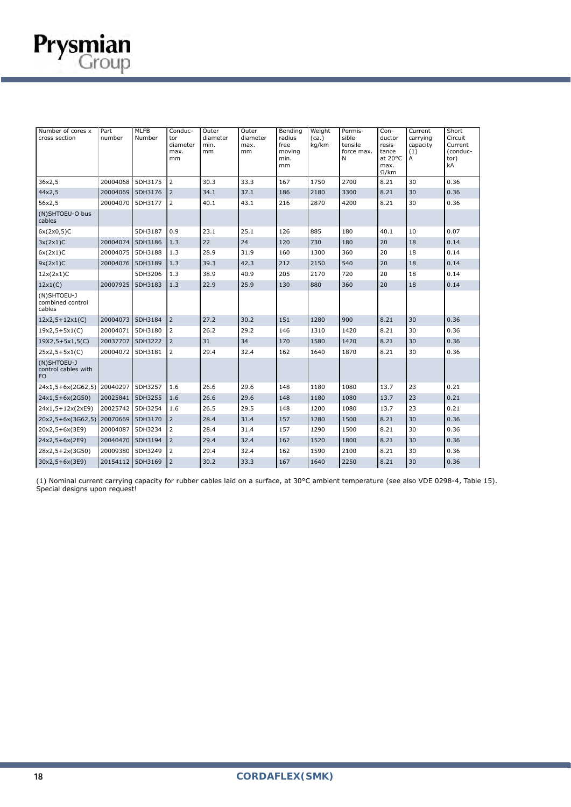

(1) Nominal current carrying capacity for rubber cables laid on a surface, at 30°C ambient temperature (see also VDE 0298-4, Table 15). Special designs upon request!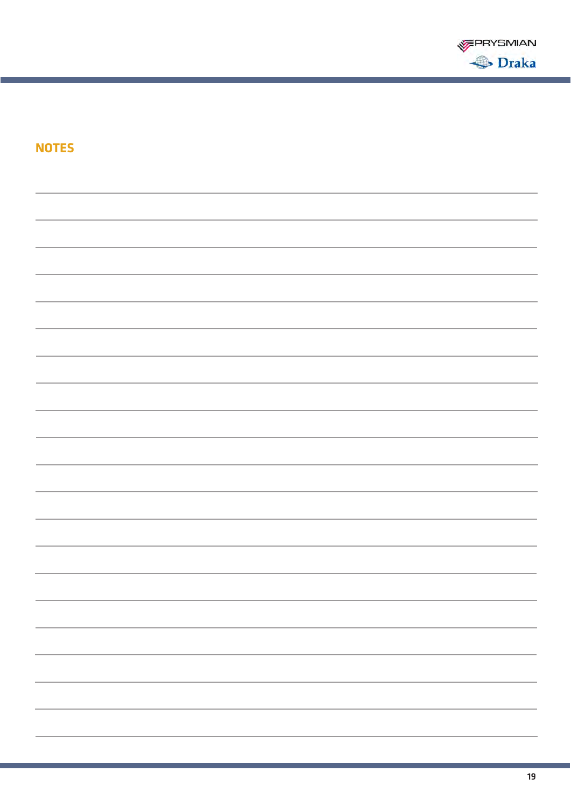

| <b>NOTES</b> |                          |
|--------------|--------------------------|
|              |                          |
|              |                          |
|              |                          |
|              |                          |
|              |                          |
|              |                          |
|              |                          |
|              |                          |
|              |                          |
|              |                          |
|              |                          |
|              |                          |
|              |                          |
|              |                          |
|              |                          |
|              |                          |
|              | $\overline{\phantom{0}}$ |
|              | -                        |
|              |                          |
|              |                          |
|              |                          |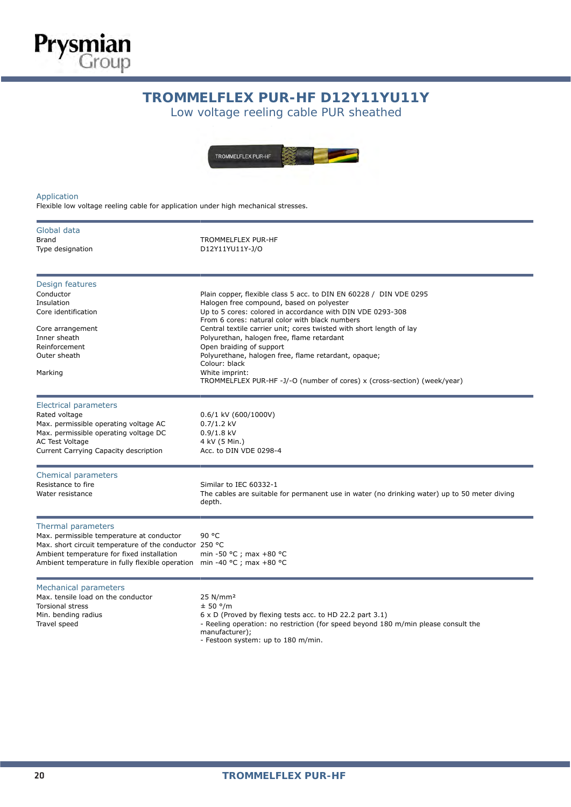### TOMMELT LLA PUR-HI DIZTITIUT **TROMMELFLEX PUR-HF D12Y11YU11Y**

Low voltage reeling cable PUR sheathed



#### Application

**Prysmian**<br>Group

Flexible low voltage reeling cable for application under high mechanical stresses.

| Global data<br><b>Brand</b><br>Type designation                                                                                                                                                                                                    | <b>TROMMELFLEX PUR-HF</b><br>D12Y11YU11Y-J/O                                                                                                                                                                                                                                                                                                                                                                                                                                                                                                            |
|----------------------------------------------------------------------------------------------------------------------------------------------------------------------------------------------------------------------------------------------------|---------------------------------------------------------------------------------------------------------------------------------------------------------------------------------------------------------------------------------------------------------------------------------------------------------------------------------------------------------------------------------------------------------------------------------------------------------------------------------------------------------------------------------------------------------|
| Design features<br>Conductor<br>Insulation<br>Core identification<br>Core arrangement<br>Inner sheath<br>Reinforcement<br>Outer sheath<br>Marking                                                                                                  | Plain copper, flexible class 5 acc. to DIN EN 60228 / DIN VDE 0295<br>Halogen free compound, based on polyester<br>Up to 5 cores: colored in accordance with DIN VDE 0293-308<br>From 6 cores: natural color with black numbers<br>Central textile carrier unit; cores twisted with short length of lay<br>Polyurethan, halogen free, flame retardant<br>Open braiding of support<br>Polyurethane, halogen free, flame retardant, opaque;<br>Colour: black<br>White imprint:<br>TROMMELFLEX PUR-HF-J/-O (number of cores) x (cross-section) (week/year) |
| <b>Electrical parameters</b><br>Rated voltage<br>Max. permissible operating voltage AC<br>Max. permissible operating voltage DC<br><b>AC Test Voltage</b><br>Current Carrying Capacity description                                                 | 0.6/1 kV (600/1000V)<br>$0.7/1.2$ kV<br>$0.9/1.8$ kV<br>4 kV (5 Min.)<br>Acc. to DIN VDE 0298-4                                                                                                                                                                                                                                                                                                                                                                                                                                                         |
| Chemical parameters<br>Resistance to fire<br>Water resistance                                                                                                                                                                                      | Similar to IEC 60332-1<br>The cables are suitable for permanent use in water (no drinking water) up to 50 meter diving<br>depth.                                                                                                                                                                                                                                                                                                                                                                                                                        |
| Thermal parameters<br>Max. permissible temperature at conductor<br>Max. short circuit temperature of the conductor 250 °C<br>Ambient temperature for fixed installation<br>Ambient temperature in fully flexible operation min -40 °C ; max +80 °C | 90 °C<br>min -50 °C; max +80 °C                                                                                                                                                                                                                                                                                                                                                                                                                                                                                                                         |
| Mechanical parameters<br>Max. tensile load on the conductor<br><b>Torsional stress</b><br>Min. bending radius<br>Travel speed                                                                                                                      | 25 N/mm <sup>2</sup><br>± 50 °/m<br>6 x D (Proved by flexing tests acc. to HD 22.2 part 3.1)<br>- Reeling operation: no restriction (for speed beyond 180 m/min please consult the<br>manufacturer);<br>- Festoon system: up to 180 m/min.                                                                                                                                                                                                                                                                                                              |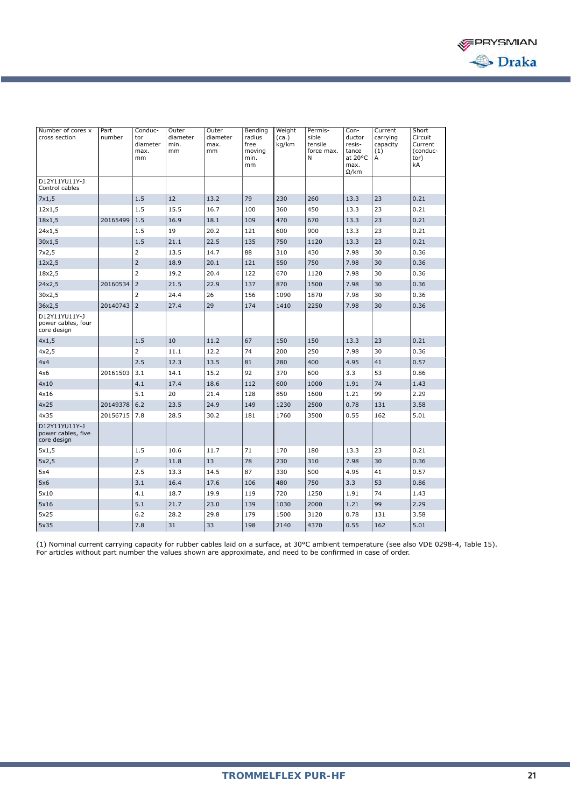

| Number of cores x<br>cross section                 | Part<br>number | Conduc-<br>tor<br>diameter<br>max.<br>mm | Outer<br>diameter<br>min.<br>mm | Outer<br>diameter<br>max.<br>mm | Bending<br>radius<br>free<br>movina<br>min.<br>mm | Weight<br>(ca.)<br>kg/km | Permis-<br>sible<br>tensile<br>force max.<br>N | Con-<br>ductor<br>resis-<br>tance<br>at 20°C<br>max.<br>$\Omega$ /km | Current<br>carrying<br>capacity<br>(1)<br>А | Short<br>Circuit<br>Current<br>(conduc-<br>tor)<br>kA |
|----------------------------------------------------|----------------|------------------------------------------|---------------------------------|---------------------------------|---------------------------------------------------|--------------------------|------------------------------------------------|----------------------------------------------------------------------|---------------------------------------------|-------------------------------------------------------|
| D12Y11YU11Y-J<br>Control cables                    |                |                                          |                                 |                                 |                                                   |                          |                                                |                                                                      |                                             |                                                       |
| 7x1,5                                              |                | 1.5                                      | 12                              | 13.2                            | 79                                                | 230                      | 260                                            | 13.3                                                                 | 23                                          | 0.21                                                  |
| 12x1,5                                             |                | 1.5                                      | 15.5                            | 16.7                            | 100                                               | 360                      | 450                                            | 13.3                                                                 | 23                                          | 0.21                                                  |
| 18x1,5                                             | 20165499       | 1.5                                      | 16.9                            | 18.1                            | 109                                               | 470                      | 670                                            | 13.3                                                                 | 23                                          | 0.21                                                  |
| 24x1,5                                             |                | 1.5                                      | 19                              | 20.2                            | 121                                               | 600                      | 900                                            | 13.3                                                                 | 23                                          | 0.21                                                  |
| 30x1,5                                             |                | 1.5                                      | 21.1                            | 22.5                            | 135                                               | 750                      | 1120                                           | 13.3                                                                 | 23                                          | 0.21                                                  |
| 7x2,5                                              |                | $\overline{2}$                           | 13.5                            | 14.7                            | 88                                                | 310                      | 430                                            | 7.98                                                                 | 30                                          | 0.36                                                  |
| 12x2,5                                             |                | $\overline{2}$                           | 18.9                            | 20.1                            | 121                                               | 550                      | 750                                            | 7.98                                                                 | 30                                          | 0.36                                                  |
| 18x2,5                                             |                | $\overline{2}$                           | 19.2                            | 20.4                            | 122                                               | 670                      | 1120                                           | 7.98                                                                 | 30                                          | 0.36                                                  |
| 24x2,5                                             | 20160534       | $\overline{2}$                           | 21.5                            | 22.9                            | 137                                               | 870                      | 1500                                           | 7.98                                                                 | 30                                          | 0.36                                                  |
| 30x2,5                                             |                | $\overline{2}$                           | 24.4                            | 26                              | 156                                               | 1090                     | 1870                                           | 7.98                                                                 | 30                                          | 0.36                                                  |
| 36x2,5                                             | 20140743       | $\overline{2}$                           | 27.4                            | 29                              | 174                                               | 1410                     | 2250                                           | 7.98                                                                 | 30                                          | 0.36                                                  |
| D12Y11YU11Y-J<br>power cables, four<br>core design |                |                                          |                                 |                                 |                                                   |                          |                                                |                                                                      |                                             |                                                       |
| 4x1,5                                              |                | 1.5                                      | 10                              | 11.2                            | 67                                                | 150                      | 150                                            | 13.3                                                                 | 23                                          | 0.21                                                  |
| 4x2,5                                              |                | $\overline{2}$                           | 11.1                            | 12.2                            | 74                                                | 200                      | 250                                            | 7.98                                                                 | 30                                          | 0.36                                                  |
| 4x4                                                |                | 2.5                                      | 12.3                            | 13.5                            | 81                                                | 280                      | 400                                            | 4.95                                                                 | 41                                          | 0.57                                                  |
| 4x6                                                | 20161503       | 3.1                                      | 14.1                            | 15.2                            | 92                                                | 370                      | 600                                            | 3.3                                                                  | 53                                          | 0.86                                                  |
| 4x10                                               |                | 4.1                                      | 17.4                            | 18.6                            | 112                                               | 600                      | 1000                                           | 1.91                                                                 | 74                                          | 1.43                                                  |
| 4x16                                               |                | 5.1                                      | 20                              | 21.4                            | 128                                               | 850                      | 1600                                           | 1.21                                                                 | 99                                          | 2.29                                                  |
| 4x25                                               | 20149378       | 6.2                                      | 23.5                            | 24.9                            | 149                                               | 1230                     | 2500                                           | 0.78                                                                 | 131                                         | 3.58                                                  |
| 4x35                                               | 20156715       | 7.8                                      | 28.5                            | 30.2                            | 181                                               | 1760                     | 3500                                           | 0.55                                                                 | 162                                         | 5.01                                                  |
| D12Y11YU11Y-J<br>power cables, five<br>core design |                |                                          |                                 |                                 |                                                   |                          |                                                |                                                                      |                                             |                                                       |
| 5x1,5                                              |                | 1.5                                      | 10.6                            | 11.7                            | 71                                                | 170                      | 180                                            | 13.3                                                                 | 23                                          | 0.21                                                  |
| 5x2,5                                              |                | $\overline{2}$                           | 11.8                            | 13                              | 78                                                | 230                      | 310                                            | 7.98                                                                 | 30                                          | 0.36                                                  |
| 5x4                                                |                | 2.5                                      | 13.3                            | 14.5                            | 87                                                | 330                      | 500                                            | 4.95                                                                 | 41                                          | 0.57                                                  |
| 5x6                                                |                | 3.1                                      | 16.4                            | 17.6                            | 106                                               | 480                      | 750                                            | 3.3                                                                  | 53                                          | 0.86                                                  |
| 5×10                                               |                | 4.1                                      | 18.7                            | 19.9                            | 119                                               | 720                      | 1250                                           | 1.91                                                                 | 74                                          | 1.43                                                  |
| 5x16                                               |                | 5.1                                      | 21.7                            | 23.0                            | 139                                               | 1030                     | 2000                                           | 1.21                                                                 | 99                                          | 2.29                                                  |
| 5x25                                               |                | 6.2                                      | 28.2                            | 29.8                            | 179                                               | 1500                     | 3120                                           | 0.78                                                                 | 131                                         | 3.58                                                  |
| 5x35                                               |                | 7.8                                      | 31                              | 33                              | 198                                               | 2140                     | 4370                                           | 0.55                                                                 | 162                                         | 5.01                                                  |

(1) Nominal current carrying capacity for rubber cables laid on a surface, at 30°C ambient temperature (see also VDE 0298-4, Table 15). For articles without part number the values shown are approximate, and need to be confirmed in case of order.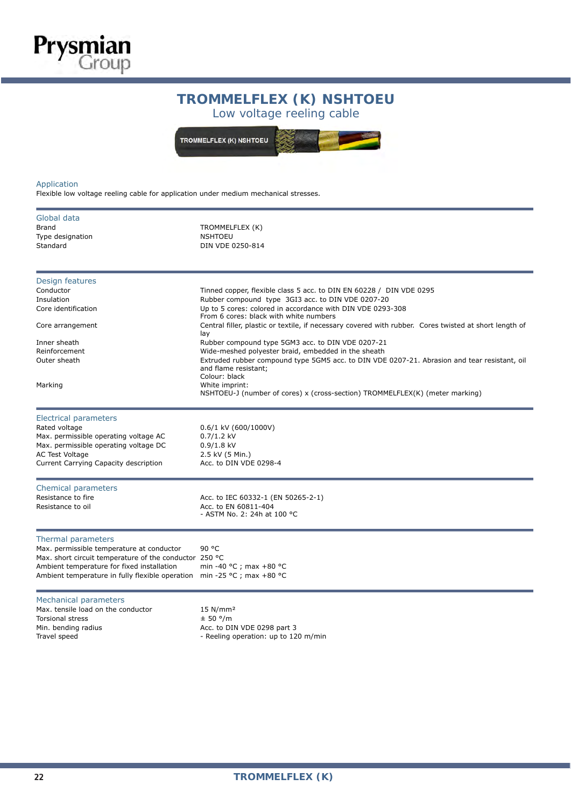# **TROMMELFLEX (K) NSHTOEU**

Low voltage reeling cable

TROMMELFLEX (K) NSHTOEU

### Application

**Prysmian**<br>Group

Flexible low voltage reeling cable for application under medium mechanical stresses.

| Global data<br><b>Brand</b><br>Type designation<br>Standard                                                                                                                                                                                        | TROMMELFLEX (K)<br><b>NSHTOEU</b><br>DIN VDE 0250-814                                                                                                                                                                                                                                                                                                      |
|----------------------------------------------------------------------------------------------------------------------------------------------------------------------------------------------------------------------------------------------------|------------------------------------------------------------------------------------------------------------------------------------------------------------------------------------------------------------------------------------------------------------------------------------------------------------------------------------------------------------|
| Design features<br>Conductor<br>Insulation<br>Core identification<br>Core arrangement                                                                                                                                                              | Tinned copper, flexible class 5 acc. to DIN EN 60228 / DIN VDE 0295<br>Rubber compound type 3GI3 acc. to DIN VDE 0207-20<br>Up to 5 cores: colored in accordance with DIN VDE 0293-308<br>From 6 cores: black with white numbers<br>Central filler, plastic or textile, if necessary covered with rubber. Cores twisted at short length of                 |
| Inner sheath<br>Reinforcement<br>Outer sheath<br>Marking                                                                                                                                                                                           | lay<br>Rubber compound type 5GM3 acc. to DIN VDE 0207-21<br>Wide-meshed polyester braid, embedded in the sheath<br>Extruded rubber compound type 5GM5 acc. to DIN VDE 0207-21. Abrasion and tear resistant, oil<br>and flame resistant;<br>Colour: black<br>White imprint:<br>NSHTOEU-J (number of cores) x (cross-section) TROMMELFLEX(K) (meter marking) |
| <b>Electrical parameters</b><br>Rated voltage<br>Max. permissible operating voltage AC<br>Max. permissible operating voltage DC<br><b>AC Test Voltage</b><br>Current Carrying Capacity description                                                 | 0.6/1 kV (600/1000V)<br>$0.7/1.2$ kV<br>$0.9/1.8$ kV<br>2.5 kV (5 Min.)<br>Acc. to DIN VDE 0298-4                                                                                                                                                                                                                                                          |
| Chemical parameters<br>Resistance to fire<br>Resistance to oil                                                                                                                                                                                     | Acc. to IEC 60332-1 (EN 50265-2-1)<br>Acc. to EN 60811-404<br>- ASTM No. 2: 24h at 100 °C                                                                                                                                                                                                                                                                  |
| Thermal parameters<br>Max. permissible temperature at conductor<br>Max. short circuit temperature of the conductor 250 °C<br>Ambient temperature for fixed installation<br>Ambient temperature in fully flexible operation min -25 °C ; max +80 °C | 90 °C<br>min -40 °C ; max +80 °C                                                                                                                                                                                                                                                                                                                           |
| Mechanical parameters<br>Max, tensile load on the conductor<br><b>Torsional stress</b><br>Min. bending radius<br>Travel speed                                                                                                                      | 15 N/mm <sup>2</sup><br>± 50 °/m<br>Acc. to DIN VDE 0298 part 3<br>- Reeling operation: up to 120 m/min                                                                                                                                                                                                                                                    |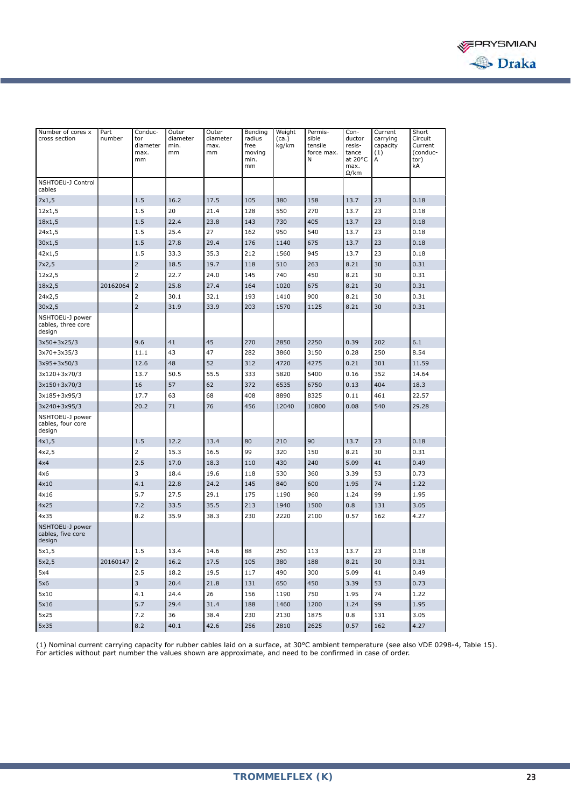

| Number of cores x<br>cross section              | Part<br>number | Conduc-<br>tor<br>diameter<br>max.<br>mm | Outer<br>diameter<br>min.<br>mm | Outer<br>diameter<br>max.<br>mm | Bending<br>radius<br>free<br>moving<br>min.<br>mm | Weight<br>(ca.)<br>kg/km | Permis-<br>sible<br>tensile<br>force max.<br>N | Con-<br>ductor<br>resis-<br>tance<br>at 20°C<br>max.<br>$\Omega$ /km | Current<br>carrying<br>capacity<br>(1)<br>А | Short<br>Circuit<br>Current<br>(conduc-<br>tor)<br>kA |
|-------------------------------------------------|----------------|------------------------------------------|---------------------------------|---------------------------------|---------------------------------------------------|--------------------------|------------------------------------------------|----------------------------------------------------------------------|---------------------------------------------|-------------------------------------------------------|
| NSHTOEU-J Control<br>cables                     |                |                                          |                                 |                                 |                                                   |                          |                                                |                                                                      |                                             |                                                       |
| 7x1,5                                           |                | 1.5                                      | 16.2                            | 17.5                            | 105                                               | 380                      | 158                                            | 13.7                                                                 | 23                                          | 0.18                                                  |
| 12x1,5                                          |                | 1.5                                      | 20                              | 21.4                            | 128                                               | 550                      | 270                                            | 13.7                                                                 | 23                                          | 0.18                                                  |
| 18x1,5                                          |                | 1.5                                      | 22.4                            | 23.8                            | 143                                               | 730                      | 405                                            | 13.7                                                                 | 23                                          | 0.18                                                  |
| 24x1,5                                          |                | 1.5                                      | 25.4                            | 27                              | 162                                               | 950                      | 540                                            | 13.7                                                                 | 23                                          | 0.18                                                  |
| 30x1,5                                          |                | 1.5                                      | 27.8                            | 29.4                            | 176                                               | 1140                     | 675                                            | 13.7                                                                 | 23                                          | 0.18                                                  |
| 42x1,5                                          |                | 1.5                                      | 33.3                            | 35.3                            | 212                                               | 1560                     | 945                                            | 13.7                                                                 | 23                                          | 0.18                                                  |
| 7x2,5                                           |                | $\overline{2}$                           | 18.5                            | 19.7                            | 118                                               | 510                      | 263                                            | 8.21                                                                 | 30                                          | 0.31                                                  |
| 12x2,5                                          |                | $\overline{2}$                           | 22.7                            | 24.0                            | 145                                               | 740                      | 450                                            | 8.21                                                                 | 30                                          | 0.31                                                  |
| 18x2,5                                          | 20162064       | 2                                        | 25.8                            | 27.4                            | 164                                               | 1020                     | 675                                            | 8.21                                                                 | 30                                          | 0.31                                                  |
| 24x2,5                                          |                | 2                                        | 30.1                            | 32.1                            | 193                                               | 1410                     | 900                                            | 8.21                                                                 | 30                                          | 0.31                                                  |
| 30x2,5                                          |                | $\overline{2}$                           | 31.9                            | 33.9                            | 203                                               | 1570                     | 1125                                           | 8.21                                                                 | 30                                          | 0.31                                                  |
| NSHTOEU-J power<br>cables, three core<br>design |                |                                          |                                 |                                 |                                                   |                          |                                                |                                                                      |                                             |                                                       |
| $3x50+3x25/3$                                   |                | 9.6                                      | 41                              | 45                              | 270                                               | 2850                     | 2250                                           | 0.39                                                                 | 202                                         | 6.1                                                   |
| 3x70+3x35/3                                     |                | 11.1                                     | 43                              | 47                              | 282                                               | 3860                     | 3150                                           | 0.28                                                                 | 250                                         | 8.54                                                  |
| $3x95+3x50/3$                                   |                | 12.6                                     | 48                              | 52                              | 312                                               | 4720                     | 4275                                           | 0.21                                                                 | 301                                         | 11.59                                                 |
| 3x120+3x70/3                                    |                | 13.7                                     | 50.5                            | 55.5                            | 333                                               | 5820                     | 5400                                           | 0.16                                                                 | 352                                         | 14.64                                                 |
| 3x150+3x70/3                                    |                | 16                                       | 57                              | 62                              | 372                                               | 6535                     | 6750                                           | 0.13                                                                 | 404                                         | 18.3                                                  |
| 3x185+3x95/3                                    |                | 17.7                                     | 63                              | 68                              | 408                                               | 8890                     | 8325                                           | 0.11                                                                 | 461                                         | 22.57                                                 |
| 3x240+3x95/3                                    |                | 20.2                                     | 71                              | 76                              | 456                                               | 12040                    | 10800                                          | 0.08                                                                 | 540                                         | 29.28                                                 |
| NSHTOEU-J power<br>cables, four core<br>design  |                |                                          |                                 |                                 |                                                   |                          |                                                |                                                                      |                                             |                                                       |
| 4x1,5                                           |                | 1.5                                      | 12.2                            | 13.4                            | 80                                                | 210                      | 90                                             | 13.7                                                                 | 23                                          | 0.18                                                  |
| 4x2,5                                           |                | $\overline{2}$                           | 15.3                            | 16.5                            | 99                                                | 320                      | 150                                            | 8.21                                                                 | 30                                          | 0.31                                                  |
| 4x4                                             |                | 2.5                                      | 17.0                            | 18.3                            | 110                                               | 430                      | 240                                            | 5.09                                                                 | 41                                          | 0.49                                                  |
| 4x6                                             |                | 3                                        | 18.4                            | 19.6                            | 118                                               | 530                      | 360                                            | 3.39                                                                 | 53                                          | 0.73                                                  |
| 4x10                                            |                | 4.1                                      | 22.8                            | 24.2                            | 145                                               | 840                      | 600                                            | 1.95                                                                 | 74                                          | 1.22                                                  |
| 4x16                                            |                | 5.7                                      | 27.5                            | 29.1                            | 175                                               | 1190                     | 960                                            | 1.24                                                                 | 99                                          | 1.95                                                  |
| 4x25                                            |                | 7.2                                      | 33.5                            | 35.5                            | 213                                               | 1940                     | 1500                                           | 0.8                                                                  | 131                                         | 3.05                                                  |
| 4x35                                            |                | 8.2                                      | 35.9                            | 38.3                            | 230                                               | 2220                     | 2100                                           | 0.57                                                                 | 162                                         | 4.27                                                  |
| NSHTOEU-J power<br>cables, five core<br>design  |                |                                          |                                 |                                 |                                                   |                          |                                                |                                                                      |                                             |                                                       |
| 5x1,5                                           |                | 1.5                                      | 13.4                            | 14.6                            | 88                                                | 250                      | 113                                            | 13.7                                                                 | 23                                          | 0.18                                                  |
| 5x2,5                                           | 20160147 2     |                                          | 16.2                            | 17.5                            | 105                                               | 380                      | 188                                            | 8.21                                                                 | 30                                          | 0.31                                                  |
| 5x4                                             |                | 2.5                                      | 18.2                            | 19.5                            | 117                                               | 490                      | 300                                            | 5.09                                                                 | 41                                          | 0.49                                                  |
| 5x6                                             |                | $\overline{3}$                           | 20.4                            | 21.8                            | 131                                               | 650                      | 450                                            | 3.39                                                                 | 53                                          | 0.73                                                  |
| 5x10                                            |                | 4.1                                      | 24.4                            | 26                              | 156                                               | 1190                     | 750                                            | 1.95                                                                 | 74                                          | 1.22                                                  |
| 5x16                                            |                | 5.7                                      | 29.4                            | 31.4                            | 188                                               | 1460                     | 1200                                           | 1.24                                                                 | 99                                          | 1.95                                                  |
| 5x25                                            |                | 7.2                                      | 36                              | 38.4                            | 230                                               | 2130                     | 1875                                           | 0.8                                                                  | 131                                         | 3.05                                                  |
| 5x35                                            |                | 8.2                                      | 40.1                            | 42.6                            | 256                                               | 2810                     | 2625                                           | 0.57                                                                 | 162                                         | 4.27                                                  |

(1) Nominal current carrying capacity for rubber cables laid on a surface, at 30°C ambient temperature (see also VDE 0298-4, Table 15). For articles without part number the values shown are approximate, and need to be confirmed in case of order.